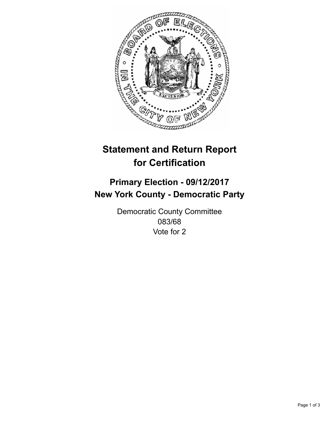

## **Statement and Return Report for Certification**

## **Primary Election - 09/12/2017 New York County - Democratic Party**

Democratic County Committee 083/68 Vote for 2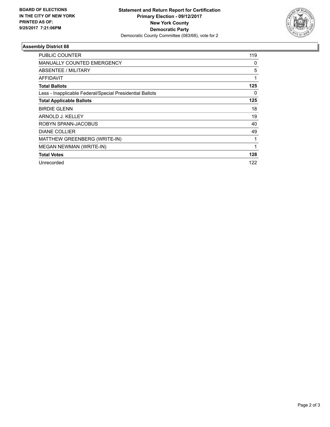

## **Assembly District 68**

| PUBLIC COUNTER                                           | 119 |
|----------------------------------------------------------|-----|
| <b>MANUALLY COUNTED EMERGENCY</b>                        | 0   |
| ABSENTEE / MILITARY                                      | 5   |
| AFFIDAVIT                                                | 1   |
| <b>Total Ballots</b>                                     | 125 |
| Less - Inapplicable Federal/Special Presidential Ballots | 0   |
| <b>Total Applicable Ballots</b>                          | 125 |
| <b>BIRDIE GLENN</b>                                      | 18  |
| ARNOLD J. KELLEY                                         | 19  |
| ROBYN SPANN-JACOBUS                                      | 40  |
| <b>DIANE COLLIER</b>                                     | 49  |
| MATTHEW GREENBERG (WRITE-IN)                             | 1   |
| MEGAN NEWMAN (WRITE-IN)                                  | 1   |
| <b>Total Votes</b>                                       | 128 |
| Unrecorded                                               | 122 |